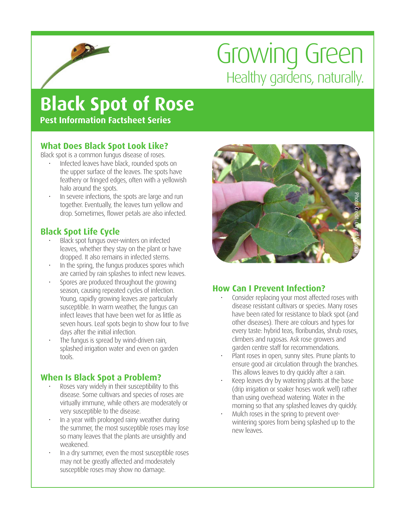# Growing Green Healthy gardens, naturally.

## **Black Spot of Rose**

**Pest Information Factsheet Series**

#### **What Does Black Spot Look Like?**

Black spot is a common fungus disease of roses.

- Infected leaves have black, rounded spots on the upper surface of the leaves. The spots have feathery or fringed edges, often with a yellowish halo around the spots.
- In severe infections, the spots are large and run together. Eventually, the leaves turn yellow and drop. Sometimes, flower petals are also infected.

### **Black Spot Life Cycle**

- Black spot fungus over-winters on infected leaves, whether they stay on the plant or have dropped. It also remains in infected stems.
- In the spring, the fungus produces spores which are carried by rain splashes to infect new leaves.
- Spores are produced throughout the growing season, causing repeated cycles of infection. Young, rapidly growing leaves are particularly susceptible. In warm weather, the fungus can infect leaves that have been wet for as little as seven hours. Leaf spots begin to show four to five days after the initial infection.
- The fungus is spread by wind-driven rain, splashed irrigation water and even on garden tools.

### **When Is Black Spot a Problem?**

- Roses vary widely in their susceptibility to this disease. Some cultivars and species of roses are virtually immune, while others are moderately or very susceptible to the disease.
- In a year with prolonged rainy weather during the summer, the most susceptible roses may lose so many leaves that the plants are unsightly and weakened.
- In a dry summer, even the most susceptible roses may not be greatly affected and moderately susceptible roses may show no damage.



#### **How Can I Prevent Infection?**

- Consider replacing your most affected roses with disease resistant cultivars or species. Many roses have been rated for resistance to black spot (and other diseases). There are colours and types for every taste: hybrid teas, floribundas, shrub roses, climbers and rugosas. Ask rose growers and garden centre staff for recommendations.
- Plant roses in open, sunny sites. Prune plants to ensure good air circulation through the branches. This allows leaves to dry quickly after a rain.
- Keep leaves dry by watering plants at the base (drip irrigation or soaker hoses work well) rather than using overhead watering. Water in the morning so that any splashed leaves dry quickly.
- Mulch roses in the spring to prevent overwintering spores from being splashed up to the new leaves.